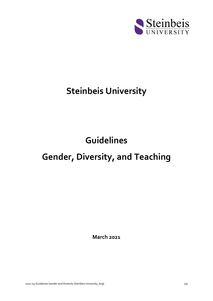

# **Steinbeis University**

# **Guidelines**

## **Gender, Diversity, and Teaching**

**March 2021**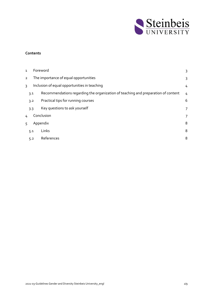

#### **Contents**

| $\mathbf{1}$                                                  |                                       | Foreword                                                                          | 3 |
|---------------------------------------------------------------|---------------------------------------|-----------------------------------------------------------------------------------|---|
| $\overline{2}$                                                | The importance of equal opportunities |                                                                                   |   |
| Inclusion of equal opportunities in teaching<br>$\mathcal{E}$ |                                       |                                                                                   |   |
|                                                               | 3.1                                   | Recommendations regarding the organization of teaching and preparation of content | 4 |
|                                                               | 3.2                                   | Practical tips for running courses                                                | 6 |
|                                                               | 3.3                                   | Key questions to ask yourself                                                     | 7 |
| 4                                                             |                                       | Conclusion                                                                        | 7 |
| 5                                                             |                                       | Appendix                                                                          | 8 |
|                                                               | 5.1                                   | Links                                                                             | 8 |
|                                                               | 5.2                                   | References                                                                        | 8 |
|                                                               |                                       |                                                                                   |   |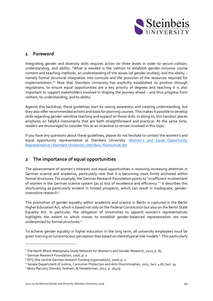

### <span id="page-2-0"></span>**1 Foreword**

Integrating gender and diversity skills requires action on three levels in order to secure volition, understanding, and ability: "What is needed is the volition to establish gender-inclusive course content and teaching methods, an understanding of the issues (of gender studies), and the ability – namely formal structural integration into curricula and the provision of the resources required for implementation."<sup>1</sup> Now that Steinbeis University has explicitly established its position through regulations, to ensure equal opportunities are a key priority of degrees and teaching it is also important to support stakeholders involved in shaping the journey ahead – and thus progress from volition, to understanding, and to ability.

Against this backdrop, these guidelines start by raising awareness and creating understanding, but they also offer recommended actions and tools for planning courses. This makes it possible to develop skills regarding gender-sensitive teaching and expand on those skills. In doing so, this handout places emphasis on helpful instruments that are both straightforward and practical. At the same time, readers are encouraged to consider this as an incentive to remain involved in this topic.

If you have any questions about these guidelines, please do not hesitate to contact the women's and equal opportunity representative at Steinbeis University: Women['s and Equal Opportunity](https://www.steinbeis-hochschule.de/Studium-Studierende/Allgemeine-Informationen/Frauen-und-Gleichstellungsbeauftragte)  [Representative | Steinbeis University \(steinbeis-hochschule.de\)](https://www.steinbeis-hochschule.de/Studium-Studierende/Allgemeine-Informationen/Frauen-und-Gleichstellungsbeauftragte)

## <span id="page-2-1"></span>**2 The importance of equal opportunities**

The advancement of women's interests and equal opportunities is receiving increasing attention in German science and academia, particularly now that it is becoming more firmly anchored within formal structures. For example, the German Research Foundation points to "insufficient involvement of women in the German science system [as a] loss of excellence and efficiency."<sup>2</sup> It describes this shortcoming as particularly evident in limited prospects, which can result in inadequate, genderinsensitive research.<sup>3</sup>

The promotion of gender equality within academia and science in Berlin is captured in the Berlin Higher Education Act, which is based not only on the Federal Constitution but also on the Berlin State Equality Act. In particular, the obligation of universities to appoint women's representatives highlights the extent to which moves to establish gender-balanced representation are now underpinned by formal structures.<sup>4</sup>

To achieve gender equality in higher education in the long term, all university employees must be given training on (un)conscious perception bias based on stereotypical role models.<sup>5</sup> This particularly

<sup>&</sup>lt;sup>1</sup> The North Rhine-Westphalia Study Network for Women's and Gender Research, 2012, p. 85

<sup>2</sup> German Research Foundation, 2016, p. 2

<sup>3</sup> DFG (the central German research funding organization), 2016, p. 2

<sup>4</sup> Senate Department of Justice, Consumer Protection and Anti-Discrimination, 2011, Sect. 4 (8), Sect. 59.

<sup>5</sup> Moss-Racusin, Dovidio, Graham, & Handelsman, 2012, p. 16479.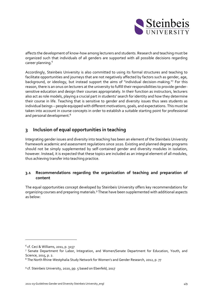

affects the development of know-how among lecturers and students. Research and teaching must be organized such that individuals of all genders are supported with all possible decisions regarding career planning.<sup>6</sup>

Accordingly, Steinbeis University is also committed to using its formal structures and teaching to facilitate opportunities and journeys that are not negatively affected by factors such as gender, age, background, or ideology, but instead support the aims of "individual decision-making."<sup>7</sup> For this reason, there is an onus on lecturers at the university to fulfill their responsibilities to provide gendersensitive education and design their courses appropriately. In their function as instructors, lecturers also act as role models, playing a crucial part in students' search for identity and how they determine their course in life. Teaching that is sensitive to gender and diversity issues thus sees students as individual beings – people equipped with different motivations, goals, and expectations. This must be taken into account in course concepts in order to establish a suitable starting point for professional and personal development.<sup>8</sup>

## <span id="page-3-0"></span>**3 Inclusion of equal opportunities in teaching**

Integrating gender issues and diversity into teaching has been an element of the Steinbeis University framework academic and assessment regulations since 2020. Existing and planned degree programs should not be simply supplemented by self-contained gender and diversity modules in isolation, however. Instead, it is expected that these topics are included as an integral element of all modules, thus achieving transfer into teaching practice.

### <span id="page-3-1"></span>**3.1 Recommendations regarding the organization of teaching and preparation of content**

The equal opportunities concept developed by Steinbeis University offers key recommendations for organizing courses and preparing materials.<sup>9</sup> These have been supplemented with additional aspects as below:

<sup>6</sup> cf. Ceci & Williams, 2011, p. 3157

<sup>7</sup> Senate Department for Labor, Integration, and Women/Senate Department for Education, Youth, and Science, 2015, p. 2.

<sup>&</sup>lt;sup>8</sup> The North Rhine-Westphalia Study Network for Women's and Gender Research, 2012, p. 77

<sup>9</sup> cf. Steinbeis University, 2020, pp. 5 based on Ebenfeld, 2017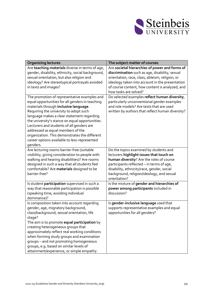

| <b>Organizing lectures</b>                                                                                                                                                                                                                                                                                                                                                                                                                                                         | The subject matter of courses                                                                                                                                                                                                                                                          |
|------------------------------------------------------------------------------------------------------------------------------------------------------------------------------------------------------------------------------------------------------------------------------------------------------------------------------------------------------------------------------------------------------------------------------------------------------------------------------------|----------------------------------------------------------------------------------------------------------------------------------------------------------------------------------------------------------------------------------------------------------------------------------------|
| Are teaching materials diverse in terms of age,<br>gender, disability, ethnicity, social background,<br>sexual orientation, but also religion and<br>ideology? Are stereotypical portrayals avoided<br>in texts and images?                                                                                                                                                                                                                                                        | Are societal hierarchies of power and forms of<br>discrimination such as age, disability, sexual<br>orientation, race, class, ableism, religion, or<br>ideology taken into account in the presentation<br>of course content, how content is analyzed, and<br>how tasks are solved?     |
| The promotion of representative examples and<br>equal opportunities for all genders in teaching<br>materials through inclusive language.<br>Requiring the university to adopt such<br>language makes a clear statement regarding<br>the university's stance on equal opportunities.<br>Lecturers and students of all genders are<br>addressed as equal members of the<br>organization. This demonstrates the different<br>career options available to less-represented<br>genders. | Do selected examples reflect human diversity,<br>particularly unconventional gender examples<br>and role models? Are texts that are used<br>written by authors that reflect human diversity?                                                                                           |
| Are lecturing rooms barrier-free (suitable<br>visibility, giving consideration to people with<br>walking and hearing disabilities)? Are rooms<br>designed in such a way that all students feel<br>comfortable? Are materials designed to be<br>barrier-free?                                                                                                                                                                                                                       | Do the topics examined by students and<br>lecturers highlight issues that touch on<br>human diversity? Are the roles of course<br>participants reflected - in terms of age,<br>disability, ethnicity/race, gender, social<br>background, religion/ideology, and sexual<br>orientation? |
| Is student participation supervised in such a<br>way that reasonable participation is possible<br>(speaking time, avoiding individual<br>dominance)?                                                                                                                                                                                                                                                                                                                               | Is the mixture of gender and hierarchies of<br>power among participants included in<br>discussion?                                                                                                                                                                                     |
| Is composition taken into account regarding<br>gender, age, migratory background,<br>class/background, sexual orientation, life<br>stage?<br>The aim is to promote <b>equal participation</b> by<br>creating heterogeneous groups that<br>approximately reflect real working conditions<br>when forming study groups and examination<br>groups - and not promoting homogeneous<br>groups, e.g. based on similar levels of<br>attainment/experience, or simple empathy.             | Is gender-inclusive language used that<br>supports representative examples and equal<br>opportunities for all genders?                                                                                                                                                                 |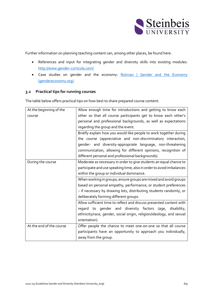

Further information on planning teaching content can, among other places, be found here:

- References and input for integrating gender and diversity skills into existing modules: <http://www.gender-curricula.com/>
- Case studies on gender and the economy: Rotman | Gender and the Economy [\(gendereconomy.org\)](https://www.gendereconomy.org/)

#### <span id="page-5-0"></span>**3.2 Practical tips for running courses**

The table below offers practical tips on how best to share prepared course content:

| At the beginning of the  | Allow enough time for introductions and getting to know each         |
|--------------------------|----------------------------------------------------------------------|
| course                   | other so that all course participants get to know each other's       |
|                          | personal and professional backgrounds, as well as expectations       |
|                          | regarding the group and the event.                                   |
|                          | Briefly explain how you would like people to work together during    |
|                          | the course (appreciative and non-discriminatory interaction,         |
|                          | gender- and diversity-appropriate language, non-threatening          |
|                          | communication, allowing for different opinions, recognition of       |
|                          | different personal and professional backgrounds).                    |
| During the course        | Moderate as necessary in order to give students an equal chance to   |
|                          | participate and use speaking time, also in order to avoid imbalances |
|                          | within the group or individual dominance.                            |
|                          | When working in groups, ensure groups are mixed and avoid groups     |
|                          | based on personal empathy, performance, or student preferences       |
|                          | - if necessary by drawing lots, distributing students randomly, or   |
|                          | deliberately forming different groups.                               |
|                          | Allow sufficient time to reflect and discuss presented content with  |
|                          | regard to gender and diversity factors (age,<br>disability,          |
|                          | ethnicity/race, gender, social origin, religion/ideology, and sexual |
|                          | orientation).                                                        |
| At the end of the course | Offer people the chance to meet one-on-one so that all course        |
|                          | participants have an opportunity to approach you individually,       |
|                          | away from the group.                                                 |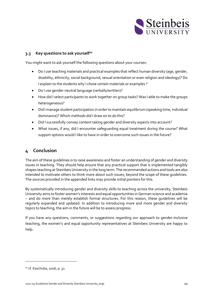

#### <span id="page-6-0"></span>**3.3 Key questions to ask yourself<sup>10</sup>**

You might want to ask yourself the following questions about your courses:

- Do I use teaching materials and practical examples that reflect human diversity (age, gender, disability, ethnicity, social background, sexual orientation or even religion and ideology)? Do I explain to the students why I chose certain materials or examples ?
- Do I use gender-neutral language (verbally/written)?
- How did I select participants to work together on group tasks? Was I able to make the groups heterogeneous?
- Did I manage student participation in order to maintain equilibrium (speaking time, individual dominance)? Which methods did I draw on to do this?
- Did I successfully convey content taking gender and diversity aspects into account?
- What issues, if any, did I encounter safeguarding equal treatment during the course? What support options would I like to have in order to overcome such issues in the future?

## <span id="page-6-1"></span>**4 Conclusion**

The aim of these guidelines is to raise awareness and foster an understanding of gender and diversity issues in teaching. They should help ensure that any practical support that is implemented tangibly shapes teaching at Steinbeis University in the long term. The recommended actions and tools are also intended to motivate others to think more about such issues, beyond the scope of these guidelines. The sources provided in the appended links may provide initial pointers for this.

By systematically introducing gender and diversity skills to teaching across the university, Steinbeis University aims to foster women's interests and equal opportunities in German science and academia – and do more than merely establish formal structures. For this reason, these guidelines will be regularly expanded and updated. In addition to introducing more and more gender and diversity topics to teaching, the aim in the future will be to assess progress.

If you have any questions, comments, or suggestions regarding our approach to gender-inclusive teaching, the women's and equal opportunity representatives at Steinbeis University are happy to help.

<sup>10</sup> cf. Kaschuba, 2006, p. 32.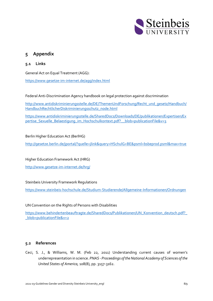

## <span id="page-7-0"></span>**5 Appendix**

#### <span id="page-7-1"></span>**5.1 Links**

General Act on Equal Treatment (AGG):

<https://www.gesetze-im-internet.de/agg/index.html>

Federal Anti-Discrimination Agency handbook on legal protection against discrimination

[http://www.antidiskriminierungsstelle.de/DE/ThemenUndForschung/Recht\\_und\\_gesetz/Handbuch/](http://www.antidiskriminierungsstelle.de/DE/ThemenUndForschung/Recht_und_gesetz/Handbuch/HandbuchRechtlicherDiskriminierungsschutz_node.html) [HandbuchRechtlicherDiskriminierungsschutz\\_node.html](http://www.antidiskriminierungsstelle.de/DE/ThemenUndForschung/Recht_und_gesetz/Handbuch/HandbuchRechtlicherDiskriminierungsschutz_node.html)

[https://www.antidiskriminierungsstelle.de/SharedDocs/Downloads/DE/publikationen/Expertisen/Ex](https://www.antidiskriminierungsstelle.de/SharedDocs/Downloads/DE/publikationen/Expertisen/Expertise_Sexuelle_Belaestigung_im_Hochschulkontext.pdf?__blob=publicationFile&amp;v=3) [pertise\\_Sexuelle\\_Belaestigung\\_im\\_Hochschulkontext.pdf?\\_\\_blob=publicationFile&v=3](https://www.antidiskriminierungsstelle.de/SharedDocs/Downloads/DE/publikationen/Expertisen/Expertise_Sexuelle_Belaestigung_im_Hochschulkontext.pdf?__blob=publicationFile&amp;v=3)

#### Berlin Higher Education Act (BerlHG)

[http://gesetze.berlin.de/jportal/?quelle=jlink&query=HSchulG+BE&psml=bsbeprod.psml&max=true](http://gesetze.berlin.de/jportal/?quelle=jlink&amp;query=HSchulG+BE&amp;psml=bsbeprod.psml&amp;max=true)

Higher Education Framework Act (HRG)

<http://www.gesetze-im-internet.de/hrg/>

Steinbeis University Framework Regulations

<https://www.steinbeis-hochschule.de/Studium-Studierende/Allgemeine-Informationen/Ordnungen>

UN Convention on the Rights of Persons with Disabilities

[https://www.behindertenbeauftragte.de/SharedDocs/Publikationen/UN\\_Konvention\\_deutsch.pdf?\\_](https://www.behindertenbeauftragte.de/SharedDocs/Publikationen/UN_Konvention_deutsch.pdf?__blob=publicationFile&amp;v=2) [\\_blob=publicationFile&v=2](https://www.behindertenbeauftragte.de/SharedDocs/Publikationen/UN_Konvention_deutsch.pdf?__blob=publicationFile&amp;v=2)

#### <span id="page-7-2"></span>**5.2 References**

Ceci, S. J., & Williams, W. M. (Feb 22, 2011) Understanding current causes of women's underrepresentation in science. *PNAS - Proceedings of the National Academy of Sciences of the United States of America,* 108(8), pp. 3157-3162.